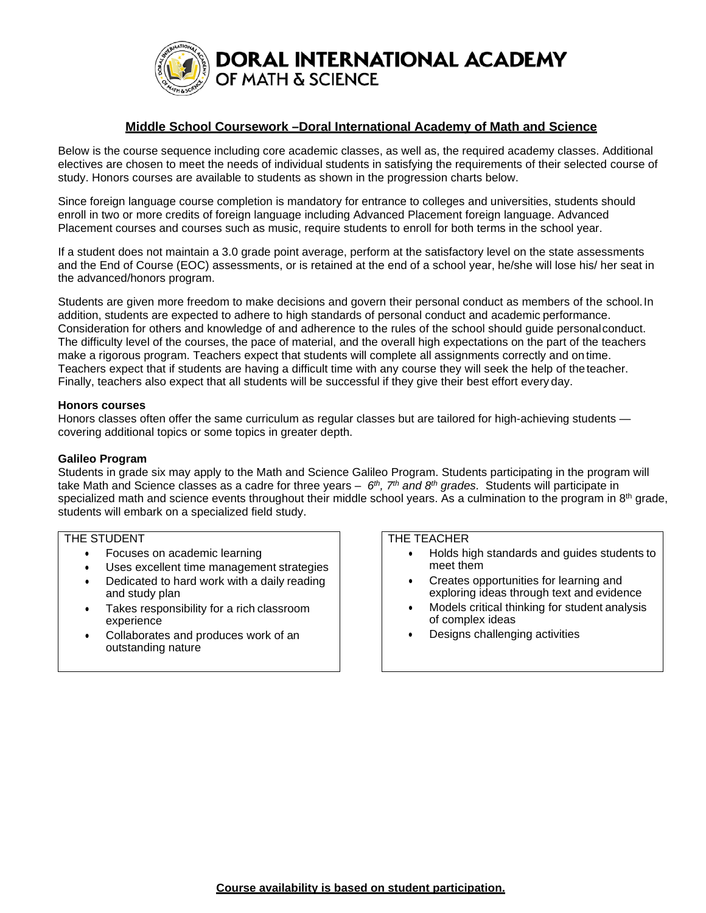

### **Middle School Coursework –Doral International Academy of Math and Science**

Below is the course sequence including core academic classes, as well as, the required academy classes. Additional electives are chosen to meet the needs of individual students in satisfying the requirements of their selected course of study. Honors courses are available to students as shown in the progression charts below.

Since foreign language course completion is mandatory for entrance to colleges and universities, students should enroll in two or more credits of foreign language including Advanced Placement foreign language. Advanced Placement courses and courses such as music, require students to enroll for both terms in the school year.

If a student does not maintain a 3.0 grade point average, perform at the satisfactory level on the state assessments and the End of Course (EOC) assessments, or is retained at the end of a school year, he/she will lose his/ her seat in the advanced/honors program.

Students are given more freedom to make decisions and govern their personal conduct as members of the school.In addition, students are expected to adhere to high standards of personal conduct and academic performance. Consideration for others and knowledge of and adherence to the rules of the school should guide personalconduct. The difficulty level of the courses, the pace of material, and the overall high expectations on the part of the teachers make a rigorous program. Teachers expect that students will complete all assignments correctly and on time. Teachers expect that if students are having a difficult time with any course they will seek the help of theteacher. Finally, teachers also expect that all students will be successful if they give their best effort every day.

### **Honors courses**

Honors classes often offer the same curriculum as regular classes but are tailored for high-achieving students covering additional topics or some topics in greater depth.

#### **Galileo Program**

Students in grade six may apply to the Math and Science Galileo Program. Students participating in the program will take Math and Science classes as a cadre for three years – *6th, 7th and 8th grades.* Students will participate in specialized math and science events throughout their middle school years. As a culmination to the program in  $8<sup>th</sup>$  grade, students will embark on a specialized field study.

### THE STUDENT

- Focuses on academic learning
- Uses excellent time management strategies
- Dedicated to hard work with a daily reading
- and study plan • Takes responsibility for a rich classroom experience
- Collaborates and produces work of an outstanding nature

#### THE TEACHER

- Holds high standards and guides students to meet them
- Creates opportunities for learning and exploring ideas through text and evidence
- Models critical thinking for student analysis of complex ideas
- Designs challenging activities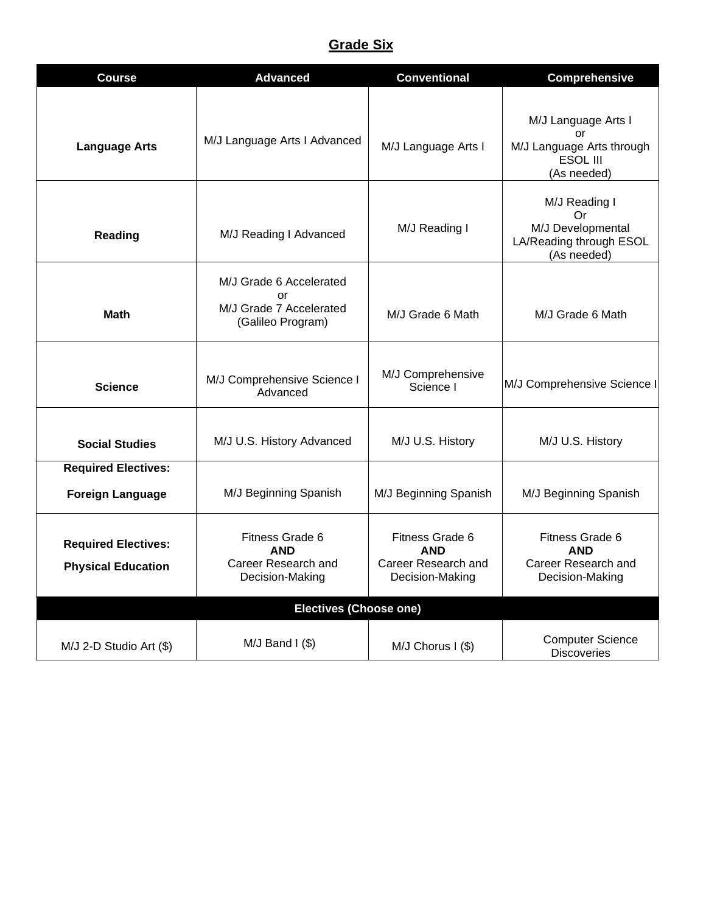# **Grade Six**

| <b>Course</b>                                           | <b>Advanced</b>                                                                       | <b>Conventional</b>                                                     | <b>Comprehensive</b>                                                               |
|---------------------------------------------------------|---------------------------------------------------------------------------------------|-------------------------------------------------------------------------|------------------------------------------------------------------------------------|
| <b>Language Arts</b>                                    | M/J Language Arts I Advanced                                                          | M/J Language Arts I                                                     | M/J Language Arts I<br>or<br>M/J Language Arts through<br>ESOL III<br>(As needed)  |
| Reading                                                 | M/J Reading I Advanced                                                                | M/J Reading I                                                           | M/J Reading I<br>Or<br>M/J Developmental<br>LA/Reading through ESOL<br>(As needed) |
| <b>Math</b>                                             | M/J Grade 6 Accelerated<br>$\alpha$ r<br>M/J Grade 7 Accelerated<br>(Galileo Program) | M/J Grade 6 Math                                                        | M/J Grade 6 Math                                                                   |
| <b>Science</b>                                          | M/J Comprehensive Science I<br>Advanced                                               | M/J Comprehensive<br>Science I                                          | M/J Comprehensive Science I                                                        |
| <b>Social Studies</b>                                   | M/J U.S. History Advanced                                                             | M/J U.S. History                                                        | M/J U.S. History                                                                   |
| <b>Required Electives:</b><br><b>Foreign Language</b>   | M/J Beginning Spanish                                                                 | M/J Beginning Spanish                                                   | M/J Beginning Spanish                                                              |
| <b>Required Electives:</b><br><b>Physical Education</b> | Fitness Grade 6<br><b>AND</b><br>Career Research and<br>Decision-Making               | Fitness Grade 6<br><b>AND</b><br>Career Research and<br>Decision-Making | Fitness Grade 6<br><b>AND</b><br>Career Research and<br>Decision-Making            |
|                                                         | <b>Electives (Choose one)</b>                                                         |                                                                         |                                                                                    |
| $M/J$ 2-D Studio Art $(\$)$                             | $M/J$ Band I (\$)                                                                     | M/J Chorus I (\$)                                                       | <b>Computer Science</b><br><b>Discoveries</b>                                      |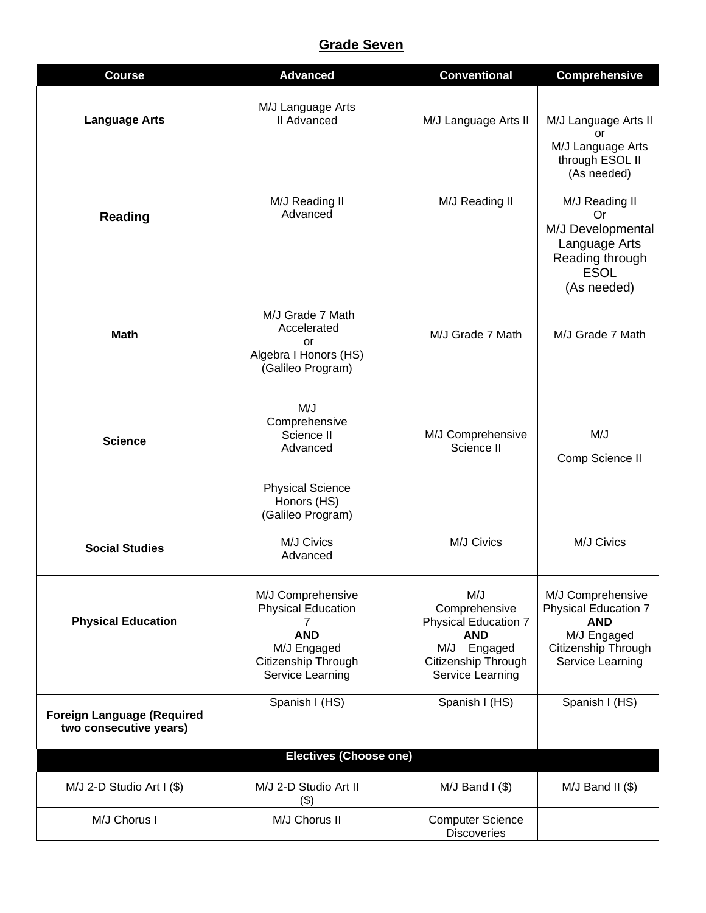# **Grade Seven**

| <b>Course</b>                                               | <b>Advanced</b>                                                                                                             | <b>Conventional</b>                                                                                                         | <b>Comprehensive</b>                                                                                                     |
|-------------------------------------------------------------|-----------------------------------------------------------------------------------------------------------------------------|-----------------------------------------------------------------------------------------------------------------------------|--------------------------------------------------------------------------------------------------------------------------|
| <b>Language Arts</b>                                        | M/J Language Arts<br><b>II</b> Advanced                                                                                     | M/J Language Arts II                                                                                                        | M/J Language Arts II<br>or<br>M/J Language Arts<br>through ESOL II<br>(As needed)                                        |
| <b>Reading</b>                                              | M/J Reading II<br>Advanced                                                                                                  | M/J Reading II                                                                                                              | M/J Reading II<br>0r<br>M/J Developmental<br>Language Arts<br>Reading through<br><b>ESOL</b><br>(As needed)              |
| <b>Math</b>                                                 | M/J Grade 7 Math<br>Accelerated<br>or<br>Algebra I Honors (HS)<br>(Galileo Program)                                         | M/J Grade 7 Math                                                                                                            | M/J Grade 7 Math                                                                                                         |
| <b>Science</b>                                              | M/J<br>Comprehensive<br>Science II<br>Advanced<br><b>Physical Science</b><br>Honors (HS)<br>(Galileo Program)               | M/J Comprehensive<br>Science II                                                                                             | M/J<br>Comp Science II                                                                                                   |
| <b>Social Studies</b>                                       | M/J Civics<br>Advanced                                                                                                      | M/J Civics                                                                                                                  | M/J Civics                                                                                                               |
| <b>Physical Education</b>                                   | M/J Comprehensive<br><b>Physical Education</b><br>7<br><b>AND</b><br>M/J Engaged<br>Citizenship Through<br>Service Learning | M/J<br>Comprehensive<br><b>Physical Education 7</b><br><b>AND</b><br>M/J Engaged<br>Citizenship Through<br>Service Learning | M/J Comprehensive<br><b>Physical Education 7</b><br><b>AND</b><br>M/J Engaged<br>Citizenship Through<br>Service Learning |
| <b>Foreign Language (Required</b><br>two consecutive years) | Spanish I (HS)                                                                                                              | Spanish I (HS)                                                                                                              | Spanish I (HS)                                                                                                           |
|                                                             | <b>Electives (Choose one)</b>                                                                                               |                                                                                                                             |                                                                                                                          |
| $M/J$ 2-D Studio Art I $(\$)$                               | M/J 2-D Studio Art II<br>(3)                                                                                                | $M/J$ Band I $(\$)$                                                                                                         | $M/J$ Band II $(\$)$                                                                                                     |
| M/J Chorus I                                                | M/J Chorus II                                                                                                               | <b>Computer Science</b><br><b>Discoveries</b>                                                                               |                                                                                                                          |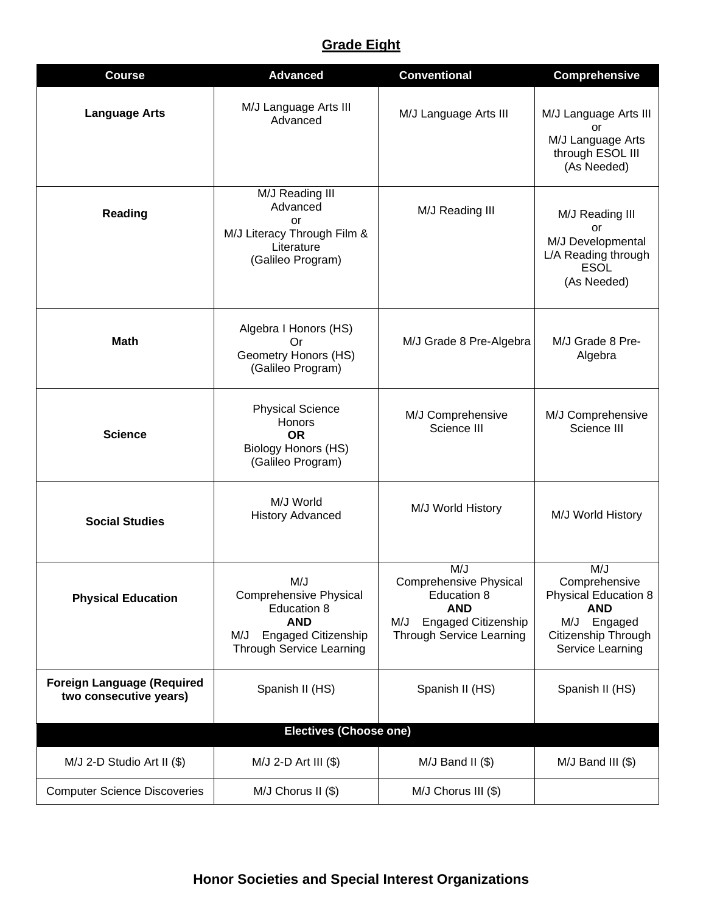# **Grade Eight**

| <b>Course</b>                                               | <b>Advanced</b>                                                                                                                           | <b>Conventional</b>                                                                                                                | <b>Comprehensive</b>                                                                                                    |  |
|-------------------------------------------------------------|-------------------------------------------------------------------------------------------------------------------------------------------|------------------------------------------------------------------------------------------------------------------------------------|-------------------------------------------------------------------------------------------------------------------------|--|
| <b>Language Arts</b>                                        | M/J Language Arts III<br>Advanced                                                                                                         | M/J Language Arts III                                                                                                              | M/J Language Arts III<br>or<br>M/J Language Arts<br>through ESOL III<br>(As Needed)                                     |  |
| Reading                                                     | M/J Reading III<br>Advanced<br>or<br>M/J Literacy Through Film &<br>Literature<br>(Galileo Program)                                       | M/J Reading III                                                                                                                    | M/J Reading III<br>or<br>M/J Developmental<br>L/A Reading through<br><b>ESOL</b><br>(As Needed)                         |  |
| <b>Math</b>                                                 | Algebra I Honors (HS)<br>Or<br>Geometry Honors (HS)<br>(Galileo Program)                                                                  | M/J Grade 8 Pre-Algebra                                                                                                            | M/J Grade 8 Pre-<br>Algebra                                                                                             |  |
| <b>Science</b>                                              | <b>Physical Science</b><br>Honors<br><b>OR</b><br><b>Biology Honors (HS)</b><br>(Galileo Program)                                         | M/J Comprehensive<br>Science III                                                                                                   | M/J Comprehensive<br>Science III                                                                                        |  |
| <b>Social Studies</b>                                       | M/J World<br><b>History Advanced</b>                                                                                                      | M/J World History                                                                                                                  | M/J World History                                                                                                       |  |
| <b>Physical Education</b>                                   | M/J<br><b>Comprehensive Physical</b><br>Education 8<br><b>AND</b><br><b>Engaged Citizenship</b><br>M/J<br><b>Through Service Learning</b> | M/J<br>Comprehensive Physical<br>Education 8<br><b>AND</b><br><b>Engaged Citizenship</b><br>M/J<br><b>Through Service Learning</b> | M/J<br>Comprehensive<br>Physical Education 8<br><b>AND</b><br>M/J<br>Engaged<br>Citizenship Through<br>Service Learning |  |
| <b>Foreign Language (Required</b><br>two consecutive years) | Spanish II (HS)                                                                                                                           | Spanish II (HS)                                                                                                                    | Spanish II (HS)                                                                                                         |  |
| <b>Electives (Choose one)</b>                               |                                                                                                                                           |                                                                                                                                    |                                                                                                                         |  |
| M/J 2-D Studio Art II (\$)                                  | $M/J$ 2-D Art III $(\$)$                                                                                                                  | $M/J$ Band II $(\$)$                                                                                                               | $M/J$ Band III $(\$)$                                                                                                   |  |
| <b>Computer Science Discoveries</b>                         | M/J Chorus II (\$)                                                                                                                        | M/J Chorus III (\$)                                                                                                                |                                                                                                                         |  |